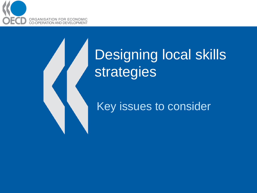

# Designing local skills strategies

#### Key issues to consider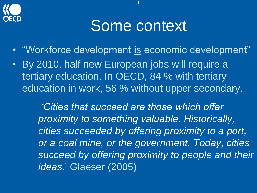

### Some context

"

- "Workforce development is economic development"
- By 2010, half new European jobs will require a tertiary education. In OECD, 84 % with tertiary education in work, 56 % without upper secondary.

*'Cities that succeed are those which offer proximity to something valuable. Historically, cities succeeded by offering proximity to a port, or a coal mine, or the government. Today, cities succeed by offering proximity to people and their ideas*." Glaeser (2005)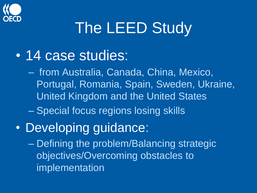

# The LEED Study

• 14 case studies:

– from Australia, Canada, China, Mexico, Portugal, Romania, Spain, Sweden, Ukraine, United Kingdom and the United States

- Special focus regions losing skills
- Developing guidance:

– Defining the problem/Balancing strategic objectives/Overcoming obstacles to implementation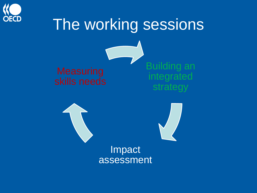

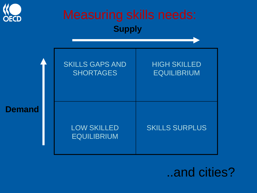

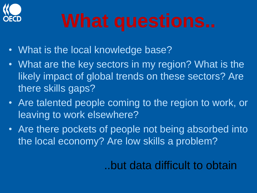

- What is the local knowledge base?
- What are the key sectors in my region? What is the likely impact of global trends on these sectors? Are there skills gaps?
- Are talented people coming to the region to work, or leaving to work elsewhere?
- Are there pockets of people not being absorbed into the local economy? Are low skills a problem?

..but data difficult to obtain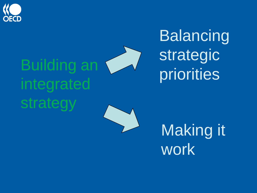

# Building an integrated strategy

Balancing strategic priorities

Making it work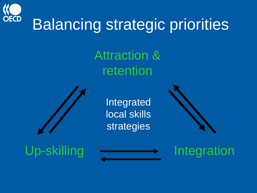

## Balancing strategic priorities

Attraction & retention



Integrated local skills strategies



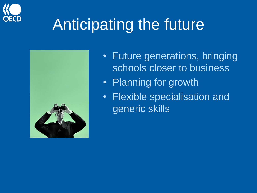

## Anticipating the future



- Future generations, bringing schools closer to business
- Planning for growth
- Flexible specialisation and generic skills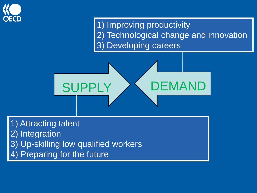

1) Improving productivity 2) Technological change and innovation 3) Developing careers



1) Attracting talent 2) Integration 3) Up-skilling low qualified workers 4) Preparing for the future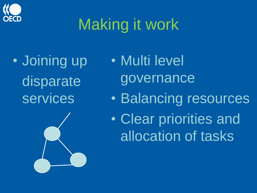

# Making it work

• Joining up disparate services



- Multi level governance • Balancing resources
- Clear priorities and allocation of tasks